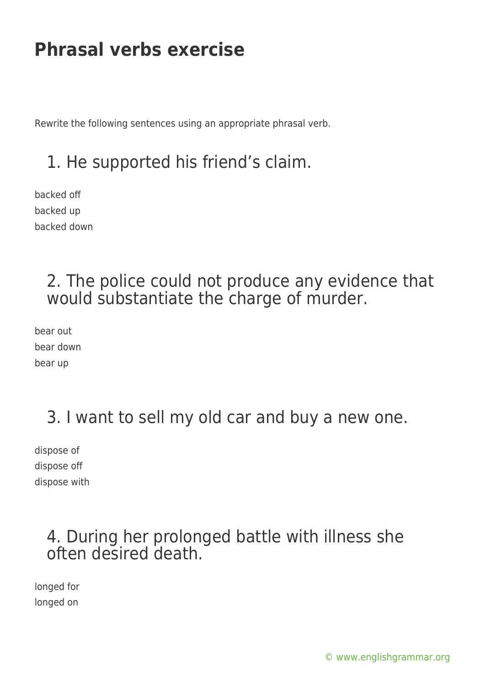Rewrite the following sentences using an appropriate phrasal verb.

## 1. He supported his friend's claim.

backed off backed up backed down

## 2. The police could not produce any evidence that would substantiate the charge of murder.

bear out bear down bear up

# 3. I want to sell my old car and buy a new one.

dispose of dispose off dispose with

## 4. During her prolonged battle with illness she often desired death.

longed for longed on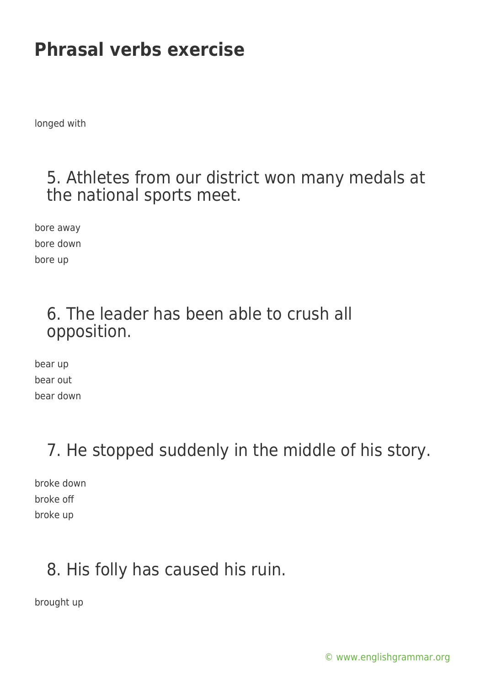longed with

#### 5. Athletes from our district won many medals at the national sports meet.

bore away bore down bore up

## 6. The leader has been able to crush all opposition.

bear up bear out bear down

## 7. He stopped suddenly in the middle of his story.

broke down broke off broke up

## 8. His folly has caused his ruin.

brought up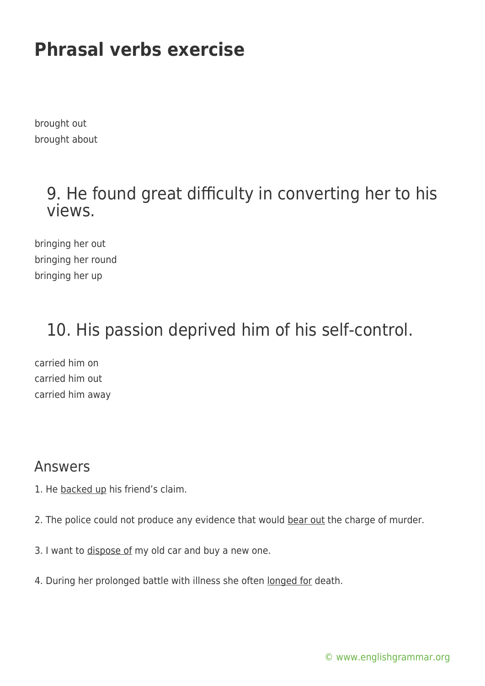brought out brought about

## 9. He found great difficulty in converting her to his views.

bringing her out bringing her round bringing her up

# 10. His passion deprived him of his self-control.

carried him on carried him out carried him away

#### Answers

- 1. He backed up his friend's claim.
- 2. The police could not produce any evidence that would bear out the charge of murder.
- 3. I want to dispose of my old car and buy a new one.
- 4. During her prolonged battle with illness she often longed for death.